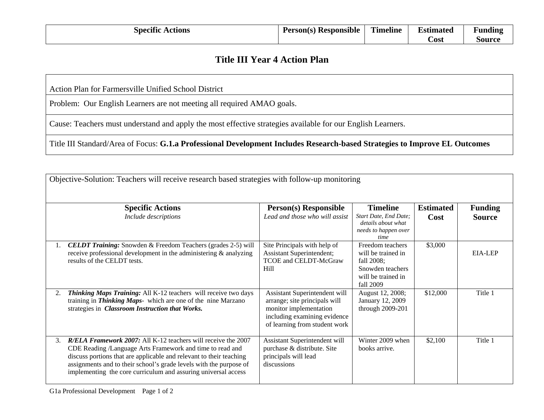| <b>Specific Actions</b> | Person(s) Responsible | <b>Timeline</b> | <b>Estimated</b> | <b>Funding</b> |
|-------------------------|-----------------------|-----------------|------------------|----------------|
|                         |                       |                 | $\mathbb C$ ost  | Source         |

## **Title III Year 4 Action Plan**

Action Plan for Farmersville Unified School District

Problem: Our English Learners are not meeting all required AMAO goals.

Cause: Teachers must understand and apply the most effective strategies available for our English Learners.

Title III Standard/Area of Focus: **G.1.a Professional Development Includes Research-based Strategies to Improve EL Outcomes** 

| Objective-Solution: Teachers will receive research based strategies with follow-up monitoring |                                                                                                                                                                                                                                                                                                                                                  |                                                                                                                                                           |                                                                                                             |                          |                                 |  |
|-----------------------------------------------------------------------------------------------|--------------------------------------------------------------------------------------------------------------------------------------------------------------------------------------------------------------------------------------------------------------------------------------------------------------------------------------------------|-----------------------------------------------------------------------------------------------------------------------------------------------------------|-------------------------------------------------------------------------------------------------------------|--------------------------|---------------------------------|--|
|                                                                                               | <b>Specific Actions</b><br>Include descriptions                                                                                                                                                                                                                                                                                                  | <b>Person(s)</b> Responsible<br>Lead and those who will assist                                                                                            | <b>Timeline</b><br>Start Date, End Date;<br>details about what<br>needs to happen over<br>time              | <b>Estimated</b><br>Cost | <b>Funding</b><br><b>Source</b> |  |
|                                                                                               | <b>CELDT Training:</b> Snowden & Freedom Teachers (grades 2-5) will<br>receive professional development in the administering & analyzing<br>results of the CELDT tests.                                                                                                                                                                          | Site Principals with help of<br><b>Assistant Superintendent;</b><br>TCOE and CELDT-McGraw<br>Hill                                                         | Freedom teachers<br>will be trained in<br>fall 2008;<br>Snowden teachers<br>will be trained in<br>fall 2009 | \$3,000                  | EIA-LEP                         |  |
| 2.                                                                                            | Thinking Maps Training: All K-12 teachers will receive two days<br>training in <i>Thinking Maps</i> - which are one of the nine Marzano<br>strategies in <i>Classroom Instruction that Works</i> .                                                                                                                                               | Assistant Superintendent will<br>arrange; site principals will<br>monitor implementation<br>including examining evidence<br>of learning from student work | August 12, 2008;<br>January 12, 2009<br>through 2009-201                                                    | \$12,000                 | Title 1                         |  |
| 3 <sub>1</sub>                                                                                | <b>R/ELA Framework 2007:</b> All K-12 teachers will receive the 2007<br>CDE Reading /Language Arts Framework and time to read and<br>discuss portions that are applicable and relevant to their teaching<br>assignments and to their school's grade levels with the purpose of<br>implementing the core curriculum and assuring universal access | Assistant Superintendent will<br>purchase & distribute. Site<br>principals will lead<br>discussions                                                       | Winter 2009 when<br>books arrive.                                                                           | \$2,100                  | Title 1                         |  |